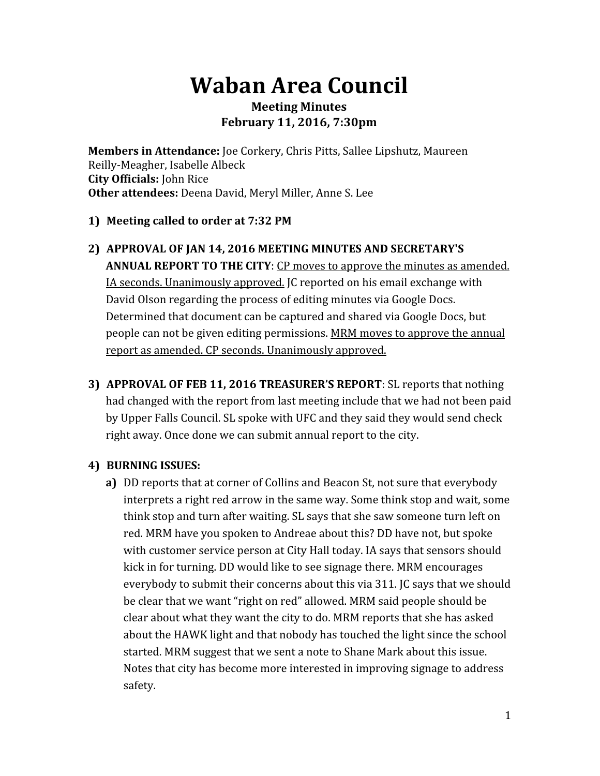# **Waban Area Council**

## **Meeting Minutes February 11, 2016, 7:30pm**

**Members in Attendance:**Joe Corkery, Chris Pitts, Sallee Lipshutz, Maureen Reilly‐Meagher, Isabelle Albeck **City Officials:**John Rice **Other attendees:** Deena David, Meryl Miller, Anne S. Lee

#### **1) Meeting called to order at 7:32 PM**

- **2) APPROVAL OF JAN 14, 2016 MEETING MINUTES AND SECRETARY'S ANNUAL REPORT TO THE CITY**: CP moves to approve the minutes as amended. IA seconds. Unanimously approved. JC reported on his email exchange with David Olson regarding the process of editing minutes via Google Docs. Determined that document can be captured and shared via Google Docs, but people can not be given editing permissions. MRM moves to approve the annual report as amended. CP seconds. Unanimously approved.
- **3) APPROVAL OF FEB 11, 2016 TREASURER'S REPORT**: SL reports that nothing had changed with the report from last meeting include that we had not been paid by Upper Falls Council. SL spoke with UFC and they said they would send check right away. Once done we can submit annual report to the city.

#### **4) BURNING ISSUES:**

**a)** DD reports that at corner of Collins and Beacon St, not sure that everybody interprets a right red arrow in the same way. Some think stop and wait, some think stop and turn after waiting. SL says that she saw someone turn left on red. MRM have you spoken to Andreae about this? DD have not, but spoke with customer service person at City Hall today. IA says that sensors should kick in for turning. DD would like to see signage there. MRM encourages everybody to submit their concerns about this via 311. JC says that we should be clear that we want "right on red" allowed. MRM said people should be clear about what they want the city to do. MRM reports that she has asked about the HAWK light and that nobody has touched the light since the school started. MRM suggest that we sent a note to Shane Mark about this issue. Notes that city has become more interested in improving signage to address safety.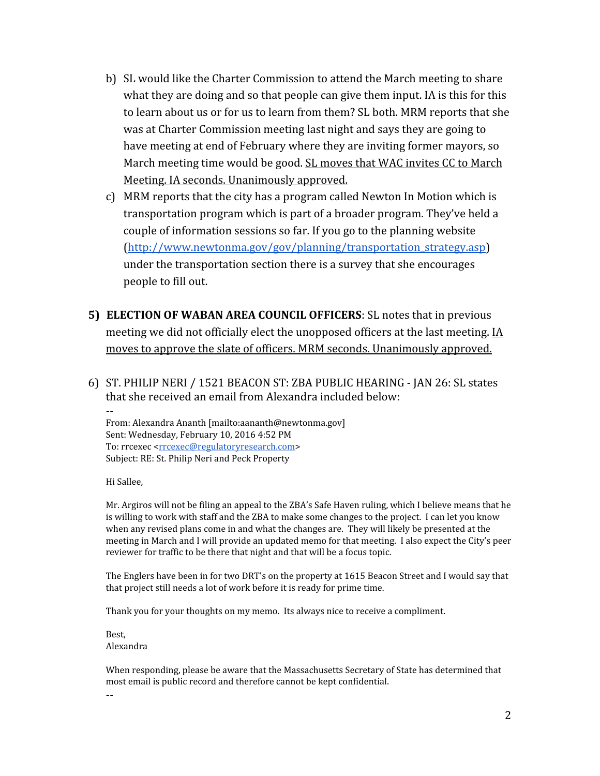- b) SL would like the Charter Commission to attend the March meeting to share what they are doing and so that people can give them input. IA is this for this to learn about us or for us to learn from them? SL both. MRM reports that she was at Charter Commission meeting last night and says they are going to have meeting at end of February where they are inviting former mayors, so March meeting time would be good. SL moves that WAC invites CC to March Meeting. IA seconds. Unanimously approved.
- c) MRM reports that the city has a program called Newton In Motion which is transportation program which is part of a broader program. They've held a couple of information sessions so far. If you go to the planning website ([http://www.newtonma.gov/gov/planning/transportation\\_strategy.asp\)](http://www.newtonma.gov/gov/planning/transportation_strategy.asp) under the transportation section there is a survey that she encourages people to fill out.
- **5) ELECTION OF WABAN AREA COUNCIL OFFICERS**: SL notes that in previous meeting we did not officially elect the unopposed officers at the last meeting. IA moves to approve the slate of officers. MRM seconds. Unanimously approved.
- 6) ST. PHILIP NERI / 1521 BEACON ST: ZBA PUBLIC HEARING ‐ JAN 26: SL states that she received an email from Alexandra included below:

‐‐ From: Alexandra Ananth [mailto:aananth@newtonma.gov] Sent: Wednesday, February 10, 2016 4:52 PM To: rrcexec [<rrcexec@regulatoryresearch.com>](mailto:rrcexec@regulatoryresearch.com) Subject: RE: St. Philip Neri and Peck Property

Hi Sallee,

Mr. Argiros will not be filing an appeal to the ZBA's Safe Haven ruling, which I believe means that he is willing to work with staff and the ZBA to make some changes to the project. I can let you know when any revised plans come in and what the changes are. They will likely be presented at the meeting in March and I will provide an updated memo for that meeting. I also expect the City's peer reviewer for traffic to be there that night and that will be a focus topic.

The Englers have been in for two DRT's on the property at 1615 Beacon Street and I would say that that project still needs a lot of work before it is ready for prime time.

Thank you for your thoughts on my memo. Its always nice to receive a compliment.

Best, Alexandra

When responding, please be aware that the Massachusetts Secretary of State has determined that most email is public record and therefore cannot be kept confidential.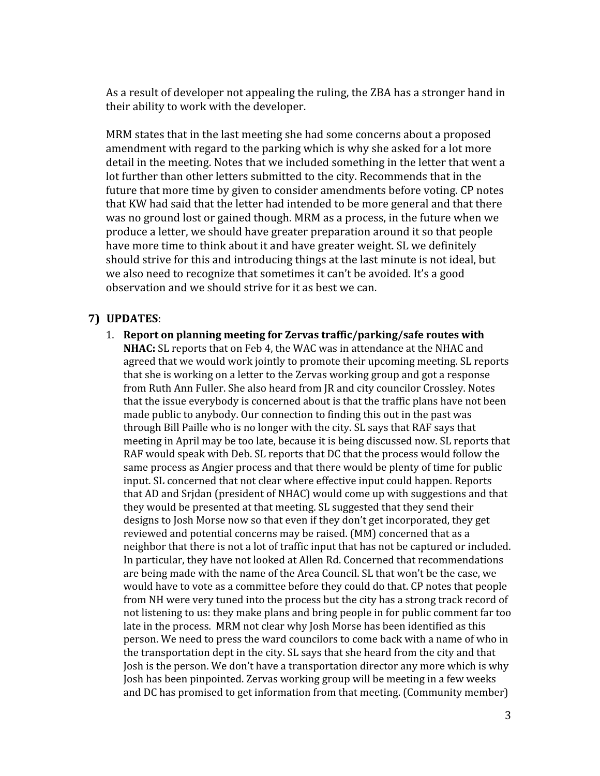As a result of developer not appealing the ruling, the ZBA has a stronger hand in their ability to work with the developer.

MRM states that in the last meeting she had some concerns about a proposed amendment with regard to the parking which is why she asked for a lot more detail in the meeting. Notes that we included something in the letter that went a lot further than other letters submitted to the city. Recommends that in the future that more time by given to consider amendments before voting. CP notes that KW had said that the letter had intended to be more general and that there was no ground lost or gained though. MRM as a process, in the future when we produce a letter, we should have greater preparation around it so that people have more time to think about it and have greater weight. SL we definitely should strive for this and introducing things at the last minute is not ideal, but we also need to recognize that sometimes it can't be avoided. It's a good observation and we should strive for it as best we can.

#### **7) UPDATES**:

1. **Report on planning meeting for Zervas traffic/parking/safe routes with NHAC:** SL reports that on Feb 4, the WAC was in attendance at the NHAC and agreed that we would work jointly to promote their upcoming meeting. SL reports that she is working on a letter to the Zervas working group and got a response from Ruth Ann Fuller. She also heard from JR and city councilor Crossley. Notes that the issue everybody is concerned about is that the traffic plans have not been made public to anybody. Our connection to finding this out in the past was through Bill Paille who is no longer with the city. SL says that RAF says that meeting in April may be too late, because it is being discussed now. SL reports that RAF would speak with Deb. SL reports that DC that the process would follow the same process as Angier process and that there would be plenty of time for public input. SL concerned that not clear where effective input could happen. Reports that AD and Srjdan (president of NHAC) would come up with suggestions and that they would be presented at that meeting. SL suggested that they send their designs to Josh Morse now so that even if they don't get incorporated, they get reviewed and potential concerns may be raised. (MM) concerned that as a neighbor that there is not a lot of traffic input that has not be captured or included. In particular, they have not looked at Allen Rd. Concerned that recommendations are being made with the name of the Area Council. SL that won't be the case, we would have to vote as a committee before they could do that. CP notes that people from NH were very tuned into the process but the city has a strong track record of not listening to us: they make plans and bring people in for public comment far too late in the process. MRM not clear why Josh Morse has been identified as this person. We need to press the ward councilors to come back with a name of who in the transportation dept in the city. SL says that she heard from the city and that Josh is the person. We don't have a transportation director any more which is why Josh has been pinpointed. Zervas working group will be meeting in a few weeks and DC has promised to get information from that meeting. (Community member)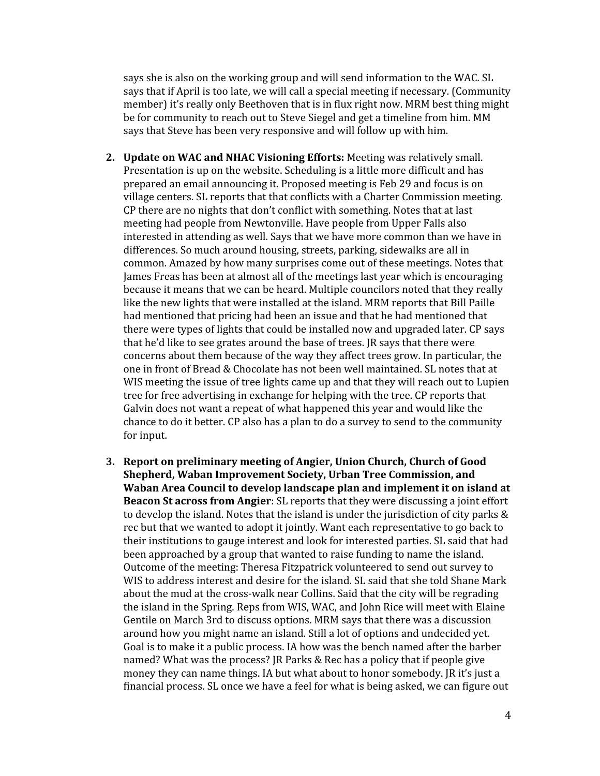says she is also on the working group and will send information to the WAC. SL says that if April is too late, we will call a special meeting if necessary. (Community member) it's really only Beethoven that is in flux right now. MRM best thing might be for community to reach out to Steve Siegel and get a timeline from him. MM says that Steve has been very responsive and will follow up with him.

- **2. Update on WAC and NHAC Visioning Efforts:** Meeting was relatively small. Presentation is up on the website. Scheduling is a little more difficult and has prepared an email announcing it. Proposed meeting is Feb 29 and focus is on village centers. SL reports that that conflicts with a Charter Commission meeting. CP there are no nights that don't conflict with something. Notes that at last meeting had people from Newtonville. Have people from Upper Falls also interested in attending as well. Says that we have more common than we have in differences. So much around housing, streets, parking, sidewalks are all in common. Amazed by how many surprises come out of these meetings. Notes that James Freas has been at almost all of the meetings last year which is encouraging because it means that we can be heard. Multiple councilors noted that they really like the new lights that were installed at the island. MRM reports that Bill Paille had mentioned that pricing had been an issue and that he had mentioned that there were types of lights that could be installed now and upgraded later. CP says that he'd like to see grates around the base of trees. JR says that there were concerns about them because of the way they affect trees grow. In particular, the one in front of Bread & Chocolate has not been well maintained. SL notes that at WIS meeting the issue of tree lights came up and that they will reach out to Lupien tree for free advertising in exchange for helping with the tree. CP reports that Galvin does not want a repeat of what happened this year and would like the chance to do it better. CP also has a plan to do a survey to send to the community for input.
- **3. Report on preliminary meeting of Angier, Union Church, Church of Good Shepherd, Waban Improvement Society, Urban Tree Commission, and Waban Area Council to develop landscape plan and implement it on island at Beacon St across from Angier**: SL reports that they were discussing a joint effort to develop the island. Notes that the island is under the jurisdiction of city parks & rec but that we wanted to adopt it jointly. Want each representative to go back to their institutions to gauge interest and look for interested parties. SL said that had been approached by a group that wanted to raise funding to name the island. Outcome of the meeting: Theresa Fitzpatrick volunteered to send out survey to WIS to address interest and desire for the island. SL said that she told Shane Mark about the mud at the cross‐walk near Collins. Said that the city will be regrading the island in the Spring. Reps from WIS, WAC, and John Rice will meet with Elaine Gentile on March 3rd to discuss options. MRM says that there was a discussion around how you might name an island. Still a lot of options and undecided yet. Goal is to make it a public process. IA how was the bench named after the barber named? What was the process? JR Parks & Rec has a policy that if people give money they can name things. IA but what about to honor somebody. JR it's just a financial process. SL once we have a feel for what is being asked, we can figure out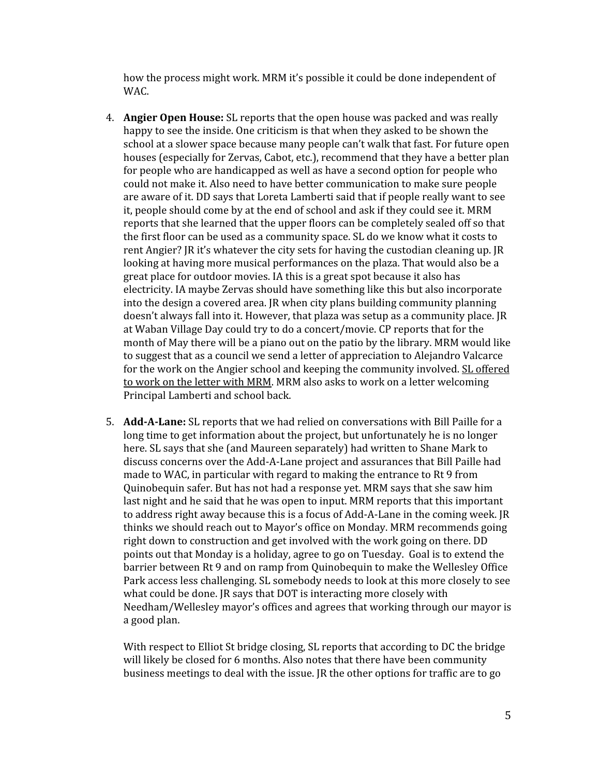how the process might work. MRM it's possible it could be done independent of WAC.

- 4. **Angier Open House:** SL reports that the open house was packed and was really happy to see the inside. One criticism is that when they asked to be shown the school at a slower space because many people can't walk that fast. For future open houses (especially for Zervas, Cabot, etc.), recommend that they have a better plan for people who are handicapped as well as have a second option for people who could not make it. Also need to have better communication to make sure people are aware of it. DD says that Loreta Lamberti said that if people really want to see it, people should come by at the end of school and ask if they could see it. MRM reports that she learned that the upper floors can be completely sealed off so that the first floor can be used as a community space. SL do we know what it costs to rent Angier? JR it's whatever the city sets for having the custodian cleaning up. JR looking at having more musical performances on the plaza. That would also be a great place for outdoor movies. IA this is a great spot because it also has electricity. IA maybe Zervas should have something like this but also incorporate into the design a covered area. JR when city plans building community planning doesn't always fall into it. However, that plaza was setup as a community place. JR at Waban Village Day could try to do a concert/movie. CP reports that for the month of May there will be a piano out on the patio by the library. MRM would like to suggest that as a council we send a letter of appreciation to Alejandro Valcarce for the work on the Angier school and keeping the community involved. SL offered to work on the letter with MRM. MRM also asks to work on a letter welcoming Principal Lamberti and school back.
- 5. **AddALane:**SL reports that we had relied on conversations with Bill Paille for a long time to get information about the project, but unfortunately he is no longer here. SL says that she (and Maureen separately) had written to Shane Mark to discuss concerns over the Add‐A‐Lane project and assurances that Bill Paille had made to WAC, in particular with regard to making the entrance to Rt 9 from Quinobequin safer. But has not had a response yet. MRM says that she saw him last night and he said that he was open to input. MRM reports that this important to address right away because this is a focus of Add‐A‐Lane in the coming week. JR thinks we should reach out to Mayor's office on Monday. MRM recommends going right down to construction and get involved with the work going on there. DD points out that Monday is a holiday, agree to go on Tuesday. Goal is to extend the barrier between Rt 9 and on ramp from Quinobequin to make the Wellesley Office Park access less challenging. SL somebody needs to look at this more closely to see what could be done. JR says that DOT is interacting more closely with Needham/Wellesley mayor's offices and agrees that working through our mayor is a good plan.

With respect to Elliot St bridge closing, SL reports that according to DC the bridge will likely be closed for 6 months. Also notes that there have been community business meetings to deal with the issue. JR the other options for traffic are to go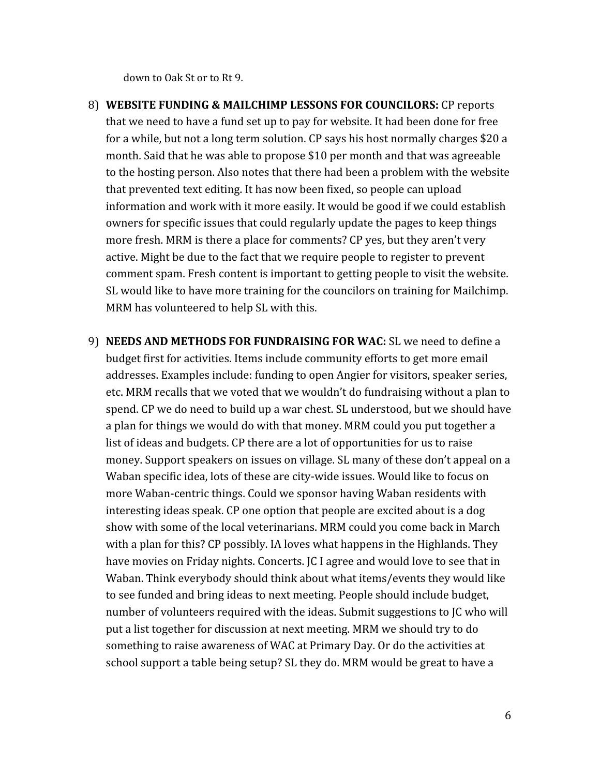down to Oak St or to Rt 9.

- 8) **WEBSITE FUNDING & MAILCHIMP LESSONS FOR COUNCILORS:**CP reports that we need to have a fund set up to pay for website. It had been done for free for a while, but not a long term solution. CP says his host normally charges \$20 a month. Said that he was able to propose \$10 per month and that was agreeable to the hosting person. Also notes that there had been a problem with the website that prevented text editing. It has now been fixed, so people can upload information and work with it more easily. It would be good if we could establish owners for specific issues that could regularly update the pages to keep things more fresh. MRM is there a place for comments? CP yes, but they aren't very active. Might be due to the fact that we require people to register to prevent comment spam. Fresh content is important to getting people to visit the website. SL would like to have more training for the councilors on training for Mailchimp. MRM has volunteered to help SL with this.
- 9) **NEEDS AND METHODS FOR FUNDRAISING FOR WAC:**SL we need to define a budget first for activities. Items include community efforts to get more email addresses. Examples include: funding to open Angier for visitors, speaker series, etc. MRM recalls that we voted that we wouldn't do fundraising without a plan to spend. CP we do need to build up a war chest. SL understood, but we should have a plan for things we would do with that money. MRM could you put together a list of ideas and budgets. CP there are a lot of opportunities for us to raise money. Support speakers on issues on village. SL many of these don't appeal on a Waban specific idea, lots of these are city-wide issues. Would like to focus on more Waban‐centric things. Could we sponsor having Waban residents with interesting ideas speak. CP one option that people are excited about is a dog show with some of the local veterinarians. MRM could you come back in March with a plan for this? CP possibly. IA loves what happens in the Highlands. They have movies on Friday nights. Concerts. JC I agree and would love to see that in Waban. Think everybody should think about what items/events they would like to see funded and bring ideas to next meeting. People should include budget, number of volunteers required with the ideas. Submit suggestions to JC who will put a list together for discussion at next meeting. MRM we should try to do something to raise awareness of WAC at Primary Day. Or do the activities at school support a table being setup? SL they do. MRM would be great to have a